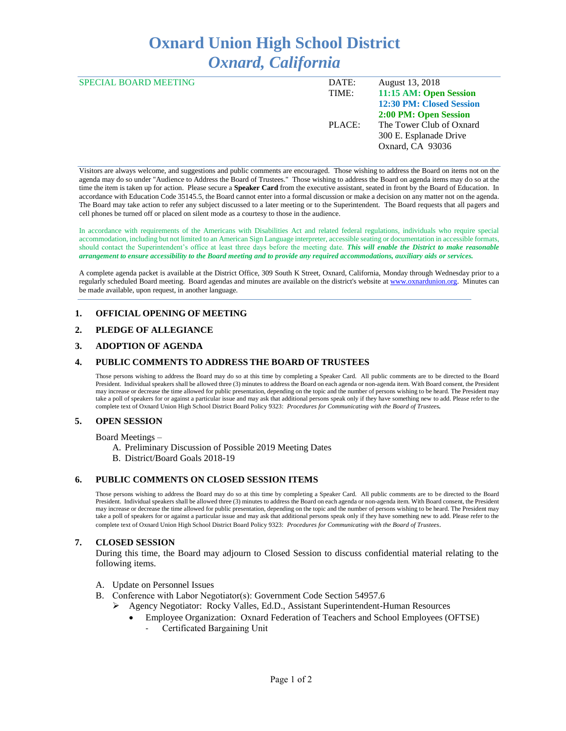# **Oxnard Union High School District** *Oxnard, California*

| <b>SPECIAL BOARD MEETING</b> | DATE:  | August 13, 2018                 |
|------------------------------|--------|---------------------------------|
|                              | TIME:  | 11:15 AM: Open Session          |
|                              |        | <b>12:30 PM: Closed Session</b> |
|                              |        | 2:00 PM: Open Session           |
|                              | PLACE: | The Tower Club of Oxnard        |
|                              |        | 300 E. Esplanade Drive          |
|                              |        | Oxnard, CA 93036                |
|                              |        |                                 |

Visitors are always welcome, and suggestions and public comments are encouraged. Those wishing to address the Board on items not on the agenda may do so under "Audience to Address the Board of Trustees." Those wishing to address the Board on agenda items may do so at the time the item is taken up for action. Please secure a **Speaker Card** from the executive assistant, seated in front by the Board of Education. In accordance with Education Code 35145.5, the Board cannot enter into a formal discussion or make a decision on any matter not on the agenda. The Board may take action to refer any subject discussed to a later meeting or to the Superintendent. The Board requests that all pagers and cell phones be turned off or placed on silent mode as a courtesy to those in the audience.

In accordance with requirements of the Americans with Disabilities Act and related federal regulations, individuals who require special accommodation, including but not limited to an American Sign Language interpreter, accessible seating or documentation in accessible formats, should contact the Superintendent's office at least three days before the meeting date. *This will enable the District to make reasonable arrangement to ensure accessibility to the Board meeting and to provide any required accommodations, auxiliary aids or services.* 

A complete agenda packet is available at the District Office, 309 South K Street, Oxnard, California, Monday through Wednesday prior to a regularly scheduled Board meeting. Board agendas and minutes are available on the district's website a[t www.ox](http://www.o/)nardunion.org.Minutes can be made available, upon request, in another language.

#### **1. OFFICIAL OPENING OF MEETING**

#### **2. PLEDGE OF ALLEGIANCE**

#### **3. ADOPTION OF AGENDA**

#### **4. PUBLIC COMMENTS TO ADDRESS THE BOARD OF TRUSTEES**

Those persons wishing to address the Board may do so at this time by completing a Speaker Card. All public comments are to be directed to the Board President. Individual speakers shall be allowed three (3) minutes to address the Board on each agenda or non-agenda item. With Board consent, the President may increase or decrease the time allowed for public presentation, depending on the topic and the number of persons wishing to be heard. The President may take a poll of speakers for or against a particular issue and may ask that additional persons speak only if they have something new to add. Please refer to the complete text of Oxnard Union High School District Board Policy 9323: *Procedures for Communicating with the Board of Trustees.*

#### **5. OPEN SESSION**

Board Meetings –

- A. Preliminary Discussion of Possible 2019 Meeting Dates
- B. District/Board Goals 2018-19

#### **6. PUBLIC COMMENTS ON CLOSED SESSION ITEMS**

Those persons wishing to address the Board may do so at this time by completing a Speaker Card. All public comments are to be directed to the Board President. Individual speakers shall be allowed three (3) minutes to address the Board on each agenda or non-agenda item. With Board consent, the President may increase or decrease the time allowed for public presentation, depending on the topic and the number of persons wishing to be heard. The President may take a poll of speakers for or against a particular issue and may ask that additional persons speak only if they have something new to add. Please refer to the complete text of Oxnard Union High School District Board Policy 9323: *Procedures for Communicating with the Board of Trustees*.

#### **7. CLOSED SESSION**

During this time, the Board may adjourn to Closed Session to discuss confidential material relating to the following items.

- A. Update on Personnel Issues
- B. Conference with Labor Negotiator(s): Government Code Section 54957.6
	- ➢ Agency Negotiator: Rocky Valles, Ed.D., Assistant Superintendent-Human Resources
		- Employee Organization: Oxnard Federation of Teachers and School Employees (OFTSE)
			- Certificated Bargaining Unit